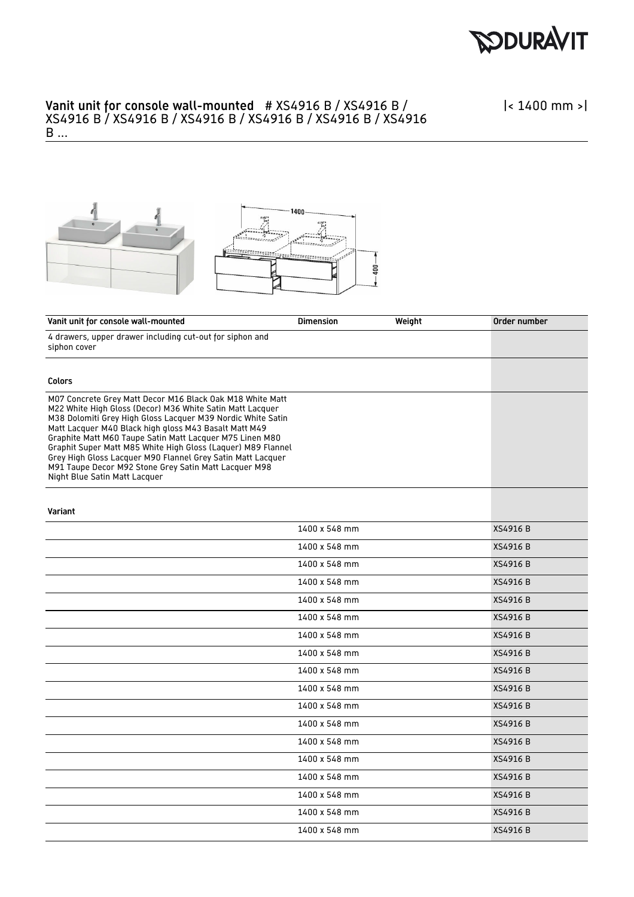

|< 1400 mm >|



| Vanit unit for console wall-mounted                                                                                                                                                                                                                                                                                                                                                                                                                                                                                                 | <b>Dimension</b> | Weight | Order number    |
|-------------------------------------------------------------------------------------------------------------------------------------------------------------------------------------------------------------------------------------------------------------------------------------------------------------------------------------------------------------------------------------------------------------------------------------------------------------------------------------------------------------------------------------|------------------|--------|-----------------|
| 4 drawers, upper drawer including cut-out for siphon and<br>siphon cover                                                                                                                                                                                                                                                                                                                                                                                                                                                            |                  |        |                 |
| Colors                                                                                                                                                                                                                                                                                                                                                                                                                                                                                                                              |                  |        |                 |
| M07 Concrete Grey Matt Decor M16 Black Oak M18 White Matt<br>M22 White High Gloss (Decor) M36 White Satin Matt Lacquer<br>M38 Dolomiti Grey High Gloss Lacquer M39 Nordic White Satin<br>Matt Lacquer M40 Black high gloss M43 Basalt Matt M49<br>Graphite Matt M60 Taupe Satin Matt Lacquer M75 Linen M80<br>Graphit Super Matt M85 White High Gloss (Laquer) M89 Flannel<br>Grey High Gloss Lacquer M90 Flannel Grey Satin Matt Lacquer<br>M91 Taupe Decor M92 Stone Grey Satin Matt Lacquer M98<br>Night Blue Satin Matt Lacquer |                  |        |                 |
| Variant                                                                                                                                                                                                                                                                                                                                                                                                                                                                                                                             |                  |        |                 |
|                                                                                                                                                                                                                                                                                                                                                                                                                                                                                                                                     | 1400 x 548 mm    |        | XS4916 B        |
|                                                                                                                                                                                                                                                                                                                                                                                                                                                                                                                                     | 1400 x 548 mm    |        | XS4916 B        |
|                                                                                                                                                                                                                                                                                                                                                                                                                                                                                                                                     | 1400 x 548 mm    |        | XS4916 B        |
|                                                                                                                                                                                                                                                                                                                                                                                                                                                                                                                                     | 1400 x 548 mm    |        | XS4916 B        |
|                                                                                                                                                                                                                                                                                                                                                                                                                                                                                                                                     | 1400 x 548 mm    |        | XS4916 B        |
|                                                                                                                                                                                                                                                                                                                                                                                                                                                                                                                                     | 1400 x 548 mm    |        | XS4916 B        |
|                                                                                                                                                                                                                                                                                                                                                                                                                                                                                                                                     | 1400 x 548 mm    |        | <b>XS4916 B</b> |
|                                                                                                                                                                                                                                                                                                                                                                                                                                                                                                                                     | 1400 x 548 mm    |        | XS4916 B        |
|                                                                                                                                                                                                                                                                                                                                                                                                                                                                                                                                     | 1400 x 548 mm    |        | XS4916 B        |
|                                                                                                                                                                                                                                                                                                                                                                                                                                                                                                                                     | 1400 x 548 mm    |        | <b>XS4916 B</b> |
|                                                                                                                                                                                                                                                                                                                                                                                                                                                                                                                                     | 1400 x 548 mm    |        | XS4916 B        |
|                                                                                                                                                                                                                                                                                                                                                                                                                                                                                                                                     | 1400 x 548 mm    |        | XS4916 B        |
|                                                                                                                                                                                                                                                                                                                                                                                                                                                                                                                                     | 1400 x 548 mm    |        | XS4916 B        |
|                                                                                                                                                                                                                                                                                                                                                                                                                                                                                                                                     | 1400 x 548 mm    |        | XS4916 B        |
|                                                                                                                                                                                                                                                                                                                                                                                                                                                                                                                                     | 1400 x 548 mm    |        | XS4916 B        |
|                                                                                                                                                                                                                                                                                                                                                                                                                                                                                                                                     | 1400 x 548 mm    |        | XS4916 B        |
|                                                                                                                                                                                                                                                                                                                                                                                                                                                                                                                                     | 1400 x 548 mm    |        | XS4916 B        |
|                                                                                                                                                                                                                                                                                                                                                                                                                                                                                                                                     | 1400 x 548 mm    |        | XS4916 B        |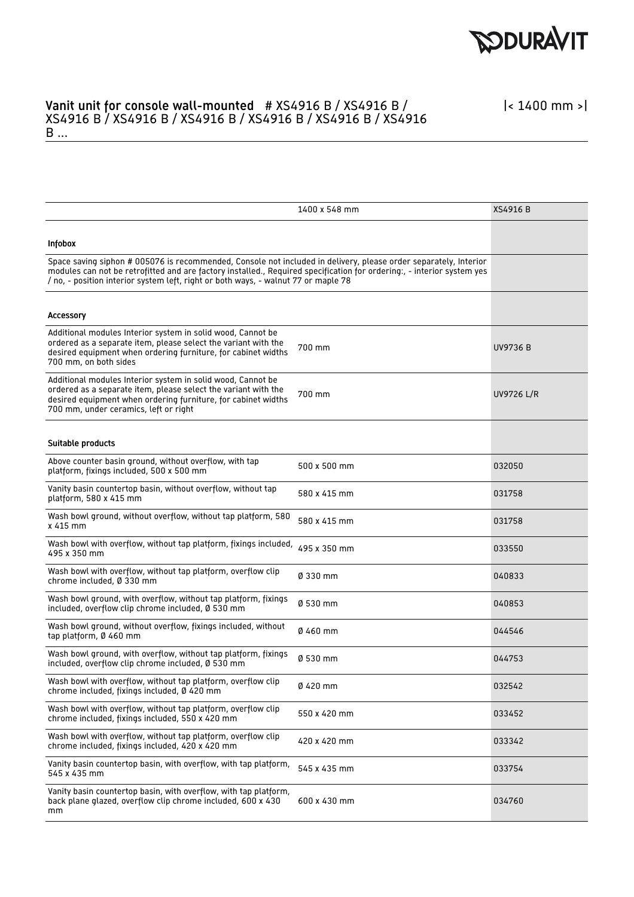

|< 1400 mm >|

|                                                                                                                                                                                                                                                                                                                                  | 1400 x 548 mm | <b>XS4916 B</b> |
|----------------------------------------------------------------------------------------------------------------------------------------------------------------------------------------------------------------------------------------------------------------------------------------------------------------------------------|---------------|-----------------|
| Infobox                                                                                                                                                                                                                                                                                                                          |               |                 |
| Space saving siphon # 005076 is recommended, Console not included in delivery, please order separately, Interior<br>modules can not be retrofitted and are factory installed., Required specification for ordering:, - interior system yes<br>/ no, - position interior system left, right or both ways, - walnut 77 or maple 78 |               |                 |
| <b>Accessory</b>                                                                                                                                                                                                                                                                                                                 |               |                 |
| Additional modules Interior system in solid wood, Cannot be<br>ordered as a separate item, please select the variant with the<br>desired equipment when ordering furniture, for cabinet widths<br>700 mm, on both sides                                                                                                          | 700 mm        | UV9736 B        |
| Additional modules Interior system in solid wood, Cannot be<br>ordered as a separate item, please select the variant with the<br>desired equipment when ordering furniture, for cabinet widths<br>700 mm, under ceramics, left or right                                                                                          | 700 mm        | UV9726 L/R      |
| Suitable products                                                                                                                                                                                                                                                                                                                |               |                 |
| Above counter basin ground, without overflow, with tap<br>platform, fixings included, 500 x 500 mm                                                                                                                                                                                                                               | 500 x 500 mm  | 032050          |
| Vanity basin countertop basin, without overflow, without tap<br>platform, 580 x 415 mm                                                                                                                                                                                                                                           | 580 x 415 mm  | 031758          |
| Wash bowl ground, without overflow, without tap platform, 580<br>x 415 mm                                                                                                                                                                                                                                                        | 580 x 415 mm  | 031758          |
| Wash bowl with overflow, without tap platform, fixings included,<br>495 x 350 mm                                                                                                                                                                                                                                                 | 495 x 350 mm  | 033550          |
| Wash bowl with overflow, without tap platform, overflow clip<br>chrome included, Ø 330 mm                                                                                                                                                                                                                                        | Ø 330 mm      | 040833          |
| Wash bowl ground, with overflow, without tap platform, fixings<br>included, overflow clip chrome included, Ø 530 mm                                                                                                                                                                                                              | Ø 530 mm      | 040853          |
| Wash bowl ground, without overflow, fixings included, without<br>tap platform, Ø 460 mm                                                                                                                                                                                                                                          | 0460 mm       | 044546          |
| Wash bowl ground, with overflow, without tap platform, fixings<br>included, overflow clip chrome included, Ø 530 mm                                                                                                                                                                                                              | Ø 530 mm      | 044753          |
| Wash bowl with overflow, without tap platform, overflow clip<br>chrome included, fixings included, Ø 420 mm                                                                                                                                                                                                                      | Ø 420 mm      | 032542          |
| Wash bowl with overflow, without tap platform, overflow clip<br>chrome included, fixings included, 550 x 420 mm                                                                                                                                                                                                                  | 550 x 420 mm  | 033452          |
| Wash bowl with overflow, without tap platform, overflow clip<br>chrome included, fixings included, 420 x 420 mm                                                                                                                                                                                                                  | 420 x 420 mm  | 033342          |
| Vanity basin countertop basin, with overflow, with tap platform,<br>545 x 435 mm                                                                                                                                                                                                                                                 | 545 x 435 mm  | 033754          |
| Vanity basin countertop basin, with overflow, with tap platform,<br>back plane glazed, overflow clip chrome included, 600 x 430<br>mm                                                                                                                                                                                            | 600 x 430 mm  | 034760          |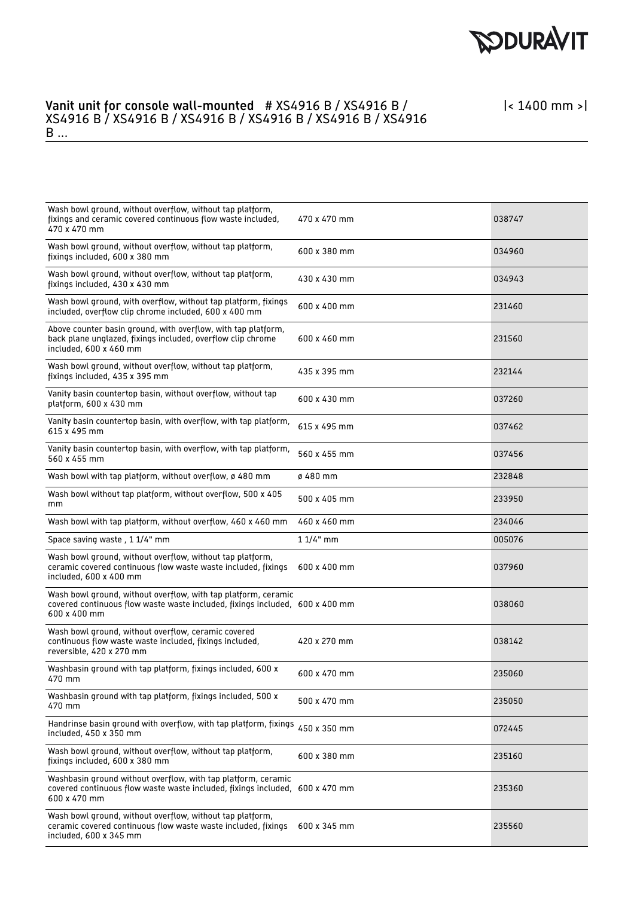

| Wash bowl ground, without overflow, without tap platform,<br>fixings and ceramic covered continuous flow waste included,<br>470 x 470 mm                       | 470 x 470 mm | 038747 |
|----------------------------------------------------------------------------------------------------------------------------------------------------------------|--------------|--------|
| Wash bowl ground, without overflow, without tap platform,<br>fixings included, 600 x 380 mm                                                                    | 600 x 380 mm | 034960 |
| Wash bowl ground, without overflow, without tap platform,<br>fixings included, 430 x 430 mm                                                                    | 430 x 430 mm | 034943 |
| Wash bowl ground, with overflow, without tap platform, fixings<br>included, overflow clip chrome included, 600 x 400 mm                                        | 600 x 400 mm | 231460 |
| Above counter basin ground, with overflow, with tap platform,<br>back plane unglazed, fixings included, overflow clip chrome<br>included, 600 x 460 mm         | 600 x 460 mm | 231560 |
| Wash bowl ground, without overflow, without tap platform,<br>fixings included, 435 x 395 mm                                                                    | 435 x 395 mm | 232144 |
| Vanity basin countertop basin, without overflow, without tap<br>platform, 600 x 430 mm                                                                         | 600 x 430 mm | 037260 |
| Vanity basin countertop basin, with overflow, with tap platform,<br>615 x 495 mm                                                                               | 615 x 495 mm | 037462 |
| Vanity basin countertop basin, with overflow, with tap platform,<br>560 x 455 mm                                                                               | 560 x 455 mm | 037456 |
| Wash bowl with tap platform, without overflow, ø 480 mm                                                                                                        | ø 480 mm     | 232848 |
| Wash bowl without tap platform, without overflow, 500 x 405<br>mm                                                                                              | 500 x 405 mm | 233950 |
| Wash bowl with tap platform, without overflow, 460 x 460 mm                                                                                                    | 460 x 460 mm | 234046 |
| Space saving waste, 1 1/4" mm                                                                                                                                  | $11/4"$ mm   | 005076 |
| Wash bowl ground, without overflow, without tap platform,<br>ceramic covered continuous flow waste waste included, fixings<br>included, 600 x 400 mm           | 600 x 400 mm | 037960 |
| Wash bowl ground, without overflow, with tap platform, ceramic<br>covered continuous flow waste waste included, fixings included, 600 x 400 mm<br>600 x 400 mm |              | 038060 |
| Wash bowl ground, without overflow, ceramic covered<br>continuous flow waste waste included, fixings included,<br>reversible, 420 x 270 mm                     | 420 x 270 mm | 038142 |
| Washbasin ground with tap platform, fixings included, 600 x<br>470 mm                                                                                          | 600 x 470 mm | 235060 |
| Washbasin ground with tap platform, fixings included, 500 x<br>470 mm                                                                                          | 500 x 470 mm | 235050 |
| Handrinse basin ground with overflow, with tap platform, fixings<br>included, 450 x 350 mm                                                                     | 450 x 350 mm | 072445 |
| Wash bowl ground, without overflow, without tap platform,<br>fixings included, 600 x 380 mm                                                                    | 600 x 380 mm | 235160 |
| Washbasin ground without overflow, with tap platform, ceramic<br>covered continuous flow waste waste included, fixings included, 600 x 470 mm<br>600 x 470 mm  |              | 235360 |
| Wash bowl ground, without overflow, without tap platform,<br>ceramic covered continuous flow waste waste included, fixings<br>included, 600 x 345 mm           | 600 x 345 mm | 235560 |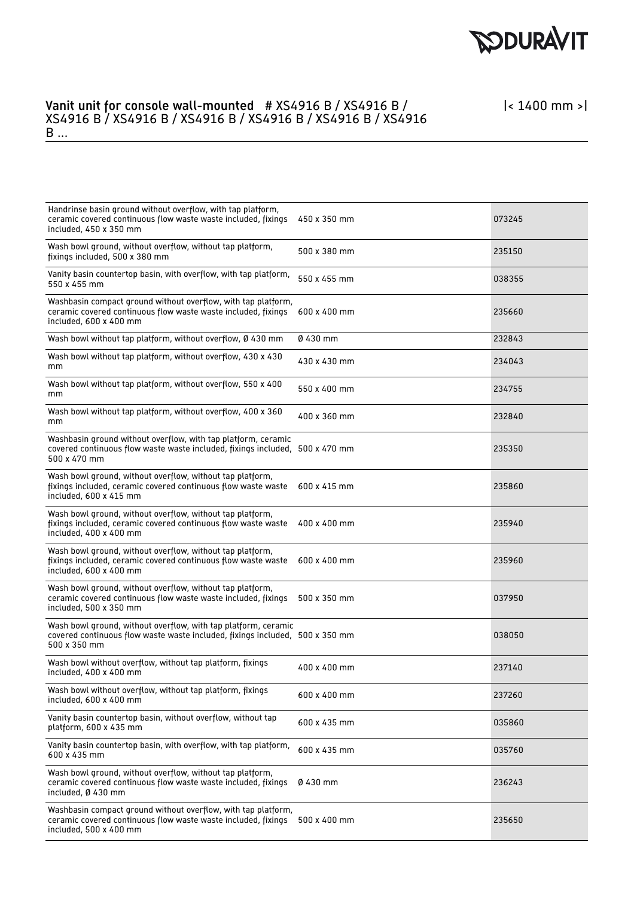

| Handrinse basin ground without overflow, with tap platform,<br>ceramic covered continuous flow waste waste included, fixings<br>included, 450 x 350 mm         | 450 x 350 mm | 073245 |
|----------------------------------------------------------------------------------------------------------------------------------------------------------------|--------------|--------|
| Wash bowl ground, without overflow, without tap platform,<br>fixings included, 500 x 380 mm                                                                    | 500 x 380 mm | 235150 |
| Vanity basin countertop basin, with overflow, with tap platform,<br>550 x 455 mm                                                                               | 550 x 455 mm | 038355 |
| Washbasin compact ground without overflow, with tap platform,<br>ceramic covered continuous flow waste waste included, fixings<br>included, 600 x 400 mm       | 600 x 400 mm | 235660 |
| Wash bowl without tap platform, without overflow, Ø 430 mm                                                                                                     | 0430 mm      | 232843 |
| Wash bowl without tap platform, without overflow, 430 x 430<br>mm                                                                                              | 430 x 430 mm | 234043 |
| Wash bowl without tap platform, without overflow, 550 x 400<br>mm                                                                                              | 550 x 400 mm | 234755 |
| Wash bowl without tap platform, without overflow, 400 x 360<br>mm                                                                                              | 400 x 360 mm | 232840 |
| Washbasin ground without overflow, with tap platform, ceramic<br>covered continuous flow waste waste included, fixings included, 500 x 470 mm<br>500 x 470 mm  |              | 235350 |
| Wash bowl ground, without overflow, without tap platform,<br>fixings included, ceramic covered continuous flow waste waste<br>included, 600 x 415 mm           | 600 x 415 mm | 235860 |
| Wash bowl ground, without overflow, without tap platform,<br>fixings included, ceramic covered continuous flow waste waste<br>included, 400 x 400 mm           | 400 x 400 mm | 235940 |
| Wash bowl ground, without overflow, without tap platform,<br>fixings included, ceramic covered continuous flow waste waste<br>included, 600 x 400 mm           | 600 x 400 mm | 235960 |
| Wash bowl ground, without overflow, without tap platform,<br>ceramic covered continuous flow waste waste included, fixings<br>included, 500 x 350 mm           | 500 x 350 mm | 037950 |
| Wash bowl ground, without overflow, with tap platform, ceramic<br>covered continuous flow waste waste included, fixings included, 500 x 350 mm<br>500 x 350 mm |              | 038050 |
| Wash bowl without overflow, without tap platform, fixings<br>included, 400 x 400 mm                                                                            | 400 x 400 mm | 237140 |
| Wash bowl without overflow, without tap platform, fixings<br>included, 600 x 400 mm                                                                            | 600 x 400 mm | 237260 |
| Vanity basin countertop basin, without overflow, without tap<br>platform, 600 x 435 mm                                                                         | 600 x 435 mm | 035860 |
| Vanity basin countertop basin, with overflow, with tap platform,<br>600 x 435 mm                                                                               | 600 x 435 mm | 035760 |
| Wash bowl ground, without overflow, without tap platform,<br>ceramic covered continuous flow waste waste included, fixings<br>included, Ø 430 mm               | 0430 mm      | 236243 |
| Washbasin compact ground without overflow, with tap platform,<br>ceramic covered continuous flow waste waste included, fixings<br>included, 500 x 400 mm       | 500 x 400 mm | 235650 |